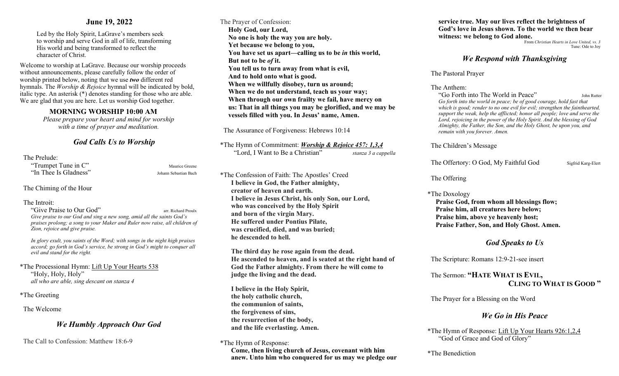## **June 19, 2022**

Led by the Holy Spirit, LaGrave's members seek to worship and serve God in all of life, transforming His world and being transformed to reflect the character of Christ.

Welcome to worship at LaGrave. Because our worship proceeds without announcements, please carefully follow the order of worship printed below, noting that we use *two* different red hymnals. The *Worship & Rejoice* hymnal will be indicated by bold, italic type. An asterisk (\*) denotes standing for those who are able. We are glad that you are here. Let us worship God together.

## **MORNING WORSHIP 10:00 AM**

*Please prepare your heart and mind for worship with a time of prayer and meditation.*

# *God Calls Us to Worship*

#### The Prelude:

| "Trumpet Tune in C"   | Maurice Greene        |
|-----------------------|-----------------------|
| "In Thee Is Gladness" | Johann Sebastian Bach |

### The Chiming of the Hour

#### The Introit:

"Give Praise to Our God" arr. Richard Proulx *Give praise to our God and sing a new song, amid all the saints God's praises prolong; a song to your Maker and Ruler now raise, all children of Zion, rejoice and give praise.* 

*In glory exult, you saints of the Word; with songs in the night high praises accord; go forth in God's service, be strong in God's might to conquer all evil and stand for the right.* 

\*The Processional Hymn: Lift Up Your Hearts 538 "Holy, Holy, Holy" *all who are able, sing descant on stanza 4*

\*The Greeting

The Welcome

## *We Humbly Approach Our God*

The Call to Confession: Matthew 18:6-9

The Prayer of Confession: **Holy God, our Lord, No one is holy the way you are holy. Yet because we belong to you, You have set us apart—calling us to be** *in* **this world, But not to be** *of* **it. You tell us to turn away from what is evil, And to hold onto what is good. When we willfully disobey, turn us around; When we do not understand, teach us your way; When through our own frailty we fail, have mercy on us: That in all things you may be glorified, and we may be vessels filled with you. In Jesus' name, Amen.**

The Assurance of Forgiveness: Hebrews 10:14

\*The Hymn of Commitment: *Worship & Rejoice 457: 1,3,4* "Lord, I Want to Be a Christian" *stanza 3 a cappella* 

\*The Confession of Faith: The Apostles' Creed **I believe in God, the Father almighty, creator of heaven and earth. I believe in Jesus Christ, his only Son, our Lord, who was conceived by the Holy Spirit and born of the virgin Mary. He suffered under Pontius Pilate, was crucified, died, and was buried; he descended to hell.**

**The third day he rose again from the dead. He ascended to heaven, and is seated at the right hand of God the Father almighty. From there he will come to judge the living and the dead.**

 **I believe in the Holy Spirit, the holy catholic church, the communion of saints, the forgiveness of sins, the resurrection of the body, and the life everlasting. Amen.**

**Come, then living church of Jesus, covenant with him anew. Unto him who conquered for us may we pledge our**  **service true. May our lives reflect the brightness of God's love in Jesus shown. To the world we then bear witness: we belong to God alone.**<br>From *Christian Hearts in Love United, vs.* 3

Tune: Ode to Joy

## *We Respond with Thanksgiving*

The Pastoral Prayer

The Anthem:

"Go Forth into The World in Peace" John Rutter *Go forth into the world in peace; be of good courage, hold fast that which is good; render to no one evil for evil; strengthen the fainthearted, support the weak, help the afflicted; honor all people; love and serve the Lord, rejoicing in the power of the Holy Spirit. And the blessing of God Almighty, the Father, the Son, and the Holy Ghost, be upon you, and remain with you forever. Amen.* 

## The Children's Message

The Offertory: O God, My Faithful God Sigfrid Karg-Elert

## The Offering

\*The Doxology **Praise God, from whom all blessings flow; Praise him, all creatures here below; Praise him, above ye heavenly host; Praise Father, Son, and Holy Ghost. Amen.** 

# *God Speaks to Us*

The Scripture: Romans 12:9-21-see insert

 The Sermon: **"HATE WHAT IS EVIL, CLING TO WHAT IS GOOD "**

The Prayer for a Blessing on the Word

## *We Go in His Peace*

\*The Hymn of Response: Lift Up Your Hearts 926:1,2,4 "God of Grace and God of Glory"

\*The Benediction

<sup>\*</sup>The Hymn of Response: